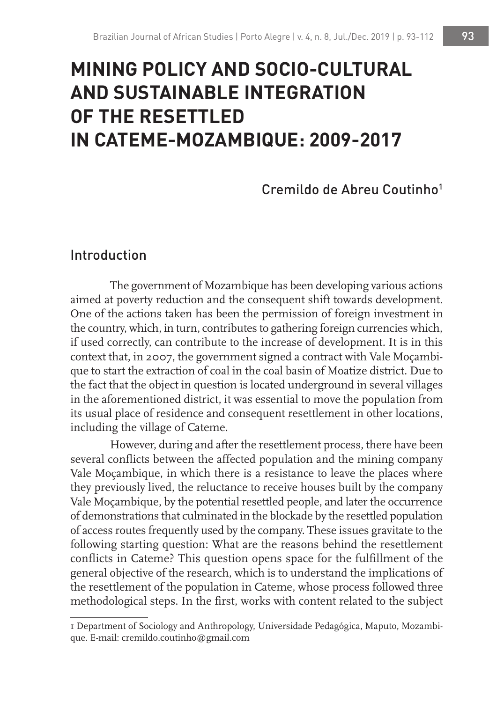# **MINING POLICY AND SOCIO-CULTURAL AND SUSTAINABLE INTEGRATION OF THE RESETTLED IN CATEME-MOZAMBIQUE: 2009-2017**

# Cremildo de Abreu Coutinho1

### Introduction

The government of Mozambique has been developing various actions aimed at poverty reduction and the consequent shift towards development. One of the actions taken has been the permission of foreign investment in the country, which, in turn, contributes to gathering foreign currencies which, if used correctly, can contribute to the increase of development. It is in this context that, in 2007, the government signed a contract with Vale Moçambique to start the extraction of coal in the coal basin of Moatize district. Due to the fact that the object in question is located underground in several villages in the aforementioned district, it was essential to move the population from its usual place of residence and consequent resettlement in other locations, including the village of Cateme.

However, during and after the resettlement process, there have been several conflicts between the affected population and the mining company Vale Moçambique, in which there is a resistance to leave the places where they previously lived, the reluctance to receive houses built by the company Vale Moçambique, by the potential resettled people, and later the occurrence of demonstrations that culminated in the blockade by the resettled population of access routes frequently used by the company. These issues gravitate to the following starting question: What are the reasons behind the resettlement conflicts in Cateme? This question opens space for the fulfillment of the general objective of the research, which is to understand the implications of the resettlement of the population in Cateme, whose process followed three methodological steps. In the first, works with content related to the subject

<sup>1</sup> Department of Sociology and Anthropology, Universidade Pedagógica, Maputo, Mozambique. E-mail: cremildo.coutinho@gmail.com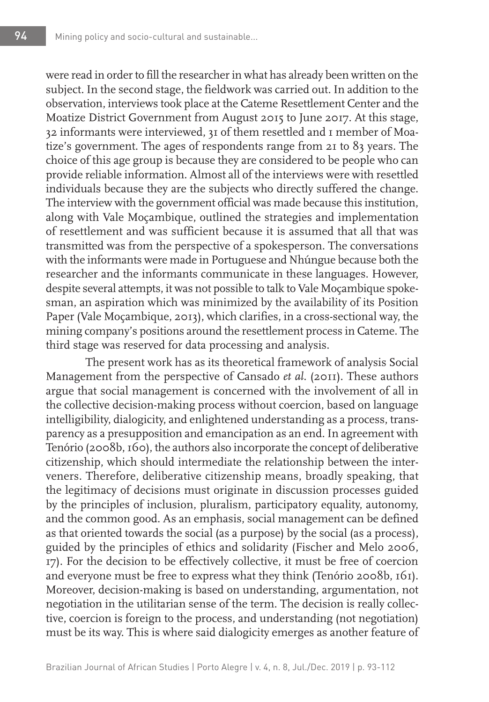were read in order to fill the researcher in what has already been written on the subject. In the second stage, the fieldwork was carried out. In addition to the observation, interviews took place at the Cateme Resettlement Center and the Moatize District Government from August 2015 to June 2017. At this stage, 32 informants were interviewed, 31 of them resettled and 1 member of Moatize's government. The ages of respondents range from 21 to 83 years. The choice of this age group is because they are considered to be people who can provide reliable information. Almost all of the interviews were with resettled individuals because they are the subjects who directly suffered the change. The interview with the government official was made because this institution, along with Vale Moçambique, outlined the strategies and implementation of resettlement and was sufficient because it is assumed that all that was transmitted was from the perspective of a spokesperson. The conversations with the informants were made in Portuguese and Nhúngue because both the researcher and the informants communicate in these languages. However, despite several attempts, it was not possible to talk to Vale Moçambique spokesman, an aspiration which was minimized by the availability of its Position Paper (Vale Moçambique, 2013), which clarifies, in a cross-sectional way, the mining company's positions around the resettlement process in Cateme. The third stage was reserved for data processing and analysis.

The present work has as its theoretical framework of analysis Social Management from the perspective of Cansado *et al*. (2011). These authors argue that social management is concerned with the involvement of all in the collective decision-making process without coercion, based on language intelligibility, dialogicity, and enlightened understanding as a process, transparency as a presupposition and emancipation as an end. In agreement with Tenório (2008b, 160), the authors also incorporate the concept of deliberative citizenship, which should intermediate the relationship between the interveners. Therefore, deliberative citizenship means, broadly speaking, that the legitimacy of decisions must originate in discussion processes guided by the principles of inclusion, pluralism, participatory equality, autonomy, and the common good. As an emphasis, social management can be defined as that oriented towards the social (as a purpose) by the social (as a process), guided by the principles of ethics and solidarity (Fischer and Melo 2006, 17). For the decision to be effectively collective, it must be free of coercion and everyone must be free to express what they think (Tenório 2008b, 161). Moreover, decision-making is based on understanding, argumentation, not negotiation in the utilitarian sense of the term. The decision is really collective, coercion is foreign to the process, and understanding (not negotiation) must be its way. This is where said dialogicity emerges as another feature of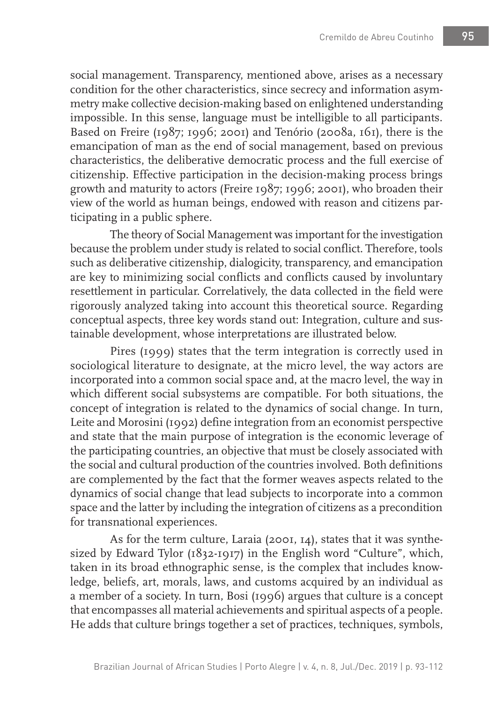social management. Transparency, mentioned above, arises as a necessary condition for the other characteristics, since secrecy and information asymmetry make collective decision-making based on enlightened understanding impossible. In this sense, language must be intelligible to all participants. Based on Freire (1987; 1996; 2001) and Tenório (2008a, 161), there is the emancipation of man as the end of social management, based on previous characteristics, the deliberative democratic process and the full exercise of citizenship. Effective participation in the decision-making process brings growth and maturity to actors (Freire 1987; 1996; 2001), who broaden their view of the world as human beings, endowed with reason and citizens participating in a public sphere.

The theory of Social Management was important for the investigation because the problem under study is related to social conflict. Therefore, tools such as deliberative citizenship, dialogicity, transparency, and emancipation are key to minimizing social conflicts and conflicts caused by involuntary resettlement in particular. Correlatively, the data collected in the field were rigorously analyzed taking into account this theoretical source. Regarding conceptual aspects, three key words stand out: Integration, culture and sustainable development, whose interpretations are illustrated below.

Pires (1999) states that the term integration is correctly used in sociological literature to designate, at the micro level, the way actors are incorporated into a common social space and, at the macro level, the way in which different social subsystems are compatible. For both situations, the concept of integration is related to the dynamics of social change. In turn, Leite and Morosini (1992) define integration from an economist perspective and state that the main purpose of integration is the economic leverage of the participating countries, an objective that must be closely associated with the social and cultural production of the countries involved. Both definitions are complemented by the fact that the former weaves aspects related to the dynamics of social change that lead subjects to incorporate into a common space and the latter by including the integration of citizens as a precondition for transnational experiences.

As for the term culture, Laraia (2001, 14), states that it was synthesized by Edward Tylor (1832-1917) in the English word "Culture", which, taken in its broad ethnographic sense, is the complex that includes knowledge, beliefs, art, morals, laws, and customs acquired by an individual as a member of a society. In turn, Bosi (1996) argues that culture is a concept that encompasses all material achievements and spiritual aspects of a people. He adds that culture brings together a set of practices, techniques, symbols,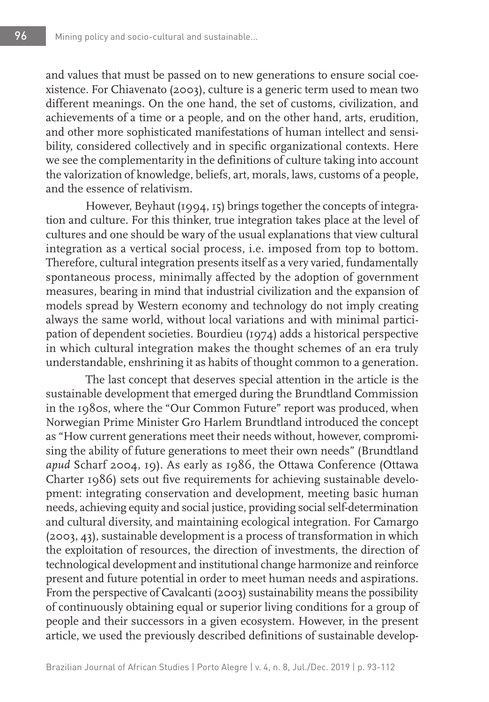and values that must be passed on to new generations to ensure social coexistence. For Chiavenato (2003), culture is a generic term used to mean two different meanings. On the one hand, the set of customs, civilization, and achievements of a time or a people, and on the other hand, arts, erudition, and other more sophisticated manifestations of human intellect and sensibility, considered collectively and in specific organizational contexts. Here we see the complementarity in the definitions of culture taking into account the valorization of knowledge, beliefs, art, morals, laws, customs of a people, and the essence of relativism.

However, Beyhaut (1994, 15) brings together the concepts of integration and culture. For this thinker, true integration takes place at the level of cultures and one should be wary of the usual explanations that view cultural integration as a vertical social process, i.e. imposed from top to bottom. Therefore, cultural integration presents itself as a very varied, fundamentally spontaneous process, minimally affected by the adoption of government measures, bearing in mind that industrial civilization and the expansion of models spread by Western economy and technology do not imply creating always the same world, without local variations and with minimal participation of dependent societies. Bourdieu (1974) adds a historical perspective in which cultural integration makes the thought schemes of an era truly understandable, enshrining it as habits of thought common to a generation.

The last concept that deserves special attention in the article is the sustainable development that emerged during the Brundtland Commission in the 1980s, where the "Our Common Future" report was produced, when Norwegian Prime Minister Gro Harlem Brundtland introduced the concept as "How current generations meet their needs without, however, compromising the ability of future generations to meet their own needs" (Brundtland *apud* Scharf 2004, 19). As early as 1986, the Ottawa Conference (Ottawa Charter 1986) sets out five requirements for achieving sustainable development: integrating conservation and development, meeting basic human needs, achieving equity and social justice, providing social self-determination and cultural diversity, and maintaining ecological integration. For Camargo (2003, 43), sustainable development is a process of transformation in which the exploitation of resources, the direction of investments, the direction of technological development and institutional change harmonize and reinforce present and future potential in order to meet human needs and aspirations. From the perspective of Cavalcanti (2003) sustainability means the possibility of continuously obtaining equal or superior living conditions for a group of people and their successors in a given ecosystem. However, in the present article, we used the previously described definitions of sustainable develop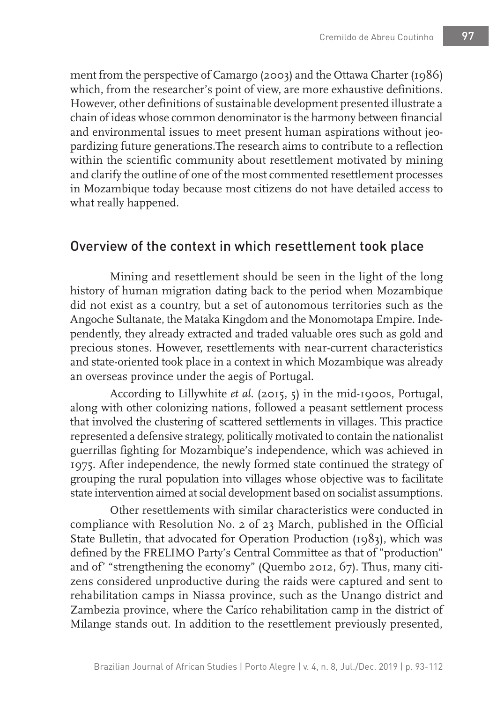ment from the perspective of Camargo (2003) and the Ottawa Charter (1986) which, from the researcher's point of view, are more exhaustive definitions. However, other definitions of sustainable development presented illustrate a chain of ideas whose common denominator is the harmony between financial and environmental issues to meet present human aspirations without jeopardizing future generations.The research aims to contribute to a reflection within the scientific community about resettlement motivated by mining and clarify the outline of one of the most commented resettlement processes in Mozambique today because most citizens do not have detailed access to what really happened.

## Overview of the context in which resettlement took place

Mining and resettlement should be seen in the light of the long history of human migration dating back to the period when Mozambique did not exist as a country, but a set of autonomous territories such as the Angoche Sultanate, the Mataka Kingdom and the Monomotapa Empire. Independently, they already extracted and traded valuable ores such as gold and precious stones. However, resettlements with near-current characteristics and state-oriented took place in a context in which Mozambique was already an overseas province under the aegis of Portugal.

According to Lillywhite *et al*. (2015, 5) in the mid-1900s, Portugal, along with other colonizing nations, followed a peasant settlement process that involved the clustering of scattered settlements in villages. This practice represented a defensive strategy, politically motivated to contain the nationalist guerrillas fighting for Mozambique's independence, which was achieved in 1975. After independence, the newly formed state continued the strategy of grouping the rural population into villages whose objective was to facilitate state intervention aimed at social development based on socialist assumptions.

Other resettlements with similar characteristics were conducted in compliance with Resolution No. 2 of 23 March, published in the Official State Bulletin, that advocated for Operation Production (1983), which was defined by the FRELIMO Party's Central Committee as that of "production" and of' "strengthening the economy" (Quembo 2012, 67). Thus, many citizens considered unproductive during the raids were captured and sent to rehabilitation camps in Niassa province, such as the Unango district and Zambezia province, where the Caríco rehabilitation camp in the district of Milange stands out. In addition to the resettlement previously presented,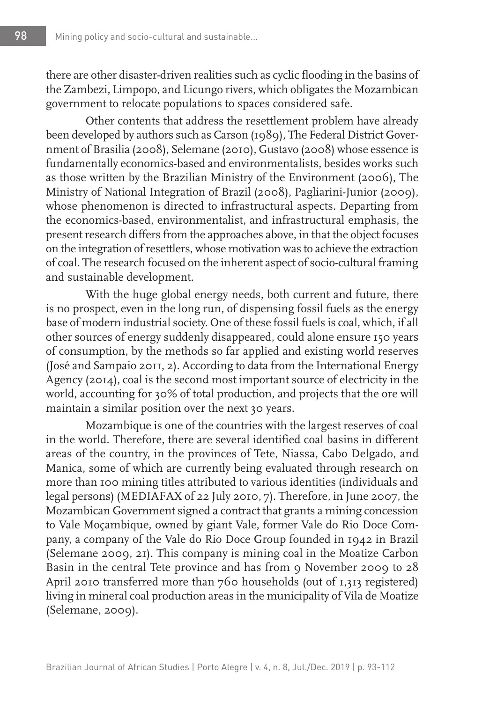there are other disaster-driven realities such as cyclic flooding in the basins of the Zambezi, Limpopo, and Licungo rivers, which obligates the Mozambican government to relocate populations to spaces considered safe.

Other contents that address the resettlement problem have already been developed by authors such as Carson (1989), The Federal District Government of Brasilia (2008), Selemane (2010), Gustavo (2008) whose essence is fundamentally economics-based and environmentalists, besides works such as those written by the Brazilian Ministry of the Environment (2006), The Ministry of National Integration of Brazil (2008), Pagliarini-Junior (2009), whose phenomenon is directed to infrastructural aspects. Departing from the economics-based, environmentalist, and infrastructural emphasis, the present research differs from the approaches above, in that the object focuses on the integration of resettlers, whose motivation was to achieve the extraction of coal. The research focused on the inherent aspect of socio-cultural framing and sustainable development.

With the huge global energy needs, both current and future, there is no prospect, even in the long run, of dispensing fossil fuels as the energy base of modern industrial society. One of these fossil fuels is coal, which, if all other sources of energy suddenly disappeared, could alone ensure 150 years of consumption, by the methods so far applied and existing world reserves (José and Sampaio 2011, 2). According to data from the International Energy Agency (2014), coal is the second most important source of electricity in the world, accounting for 30% of total production, and projects that the ore will maintain a similar position over the next 30 years.

Mozambique is one of the countries with the largest reserves of coal in the world. Therefore, there are several identified coal basins in different areas of the country, in the provinces of Tete, Niassa, Cabo Delgado, and Manica, some of which are currently being evaluated through research on more than 100 mining titles attributed to various identities (individuals and legal persons) (MEDIAFAX of 22 July 2010, 7). Therefore, in June 2007, the Mozambican Government signed a contract that grants a mining concession to Vale Moçambique, owned by giant Vale, former Vale do Rio Doce Company, a company of the Vale do Rio Doce Group founded in 1942 in Brazil (Selemane 2009, 21). This company is mining coal in the Moatize Carbon Basin in the central Tete province and has from 9 November 2009 to 28 April 2010 transferred more than 760 households (out of 1,313 registered) living in mineral coal production areas in the municipality of Vila de Moatize (Selemane, 2009).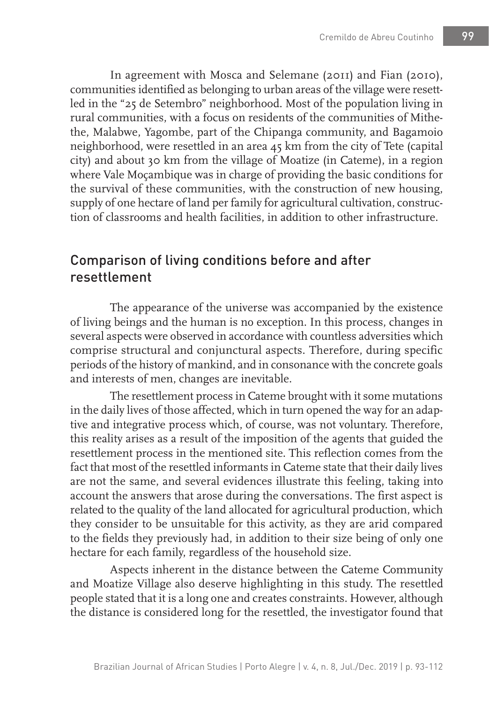In agreement with Mosca and Selemane (2011) and Fian (2010), communities identified as belonging to urban areas of the village were resettled in the "25 de Setembro" neighborhood. Most of the population living in rural communities, with a focus on residents of the communities of Mithethe, Malabwe, Yagombe, part of the Chipanga community, and Bagamoio neighborhood, were resettled in an area 45 km from the city of Tete (capital city) and about 30 km from the village of Moatize (in Cateme), in a region where Vale Moçambique was in charge of providing the basic conditions for the survival of these communities, with the construction of new housing, supply of one hectare of land per family for agricultural cultivation, construction of classrooms and health facilities, in addition to other infrastructure.

# Comparison of living conditions before and after resettlement

The appearance of the universe was accompanied by the existence of living beings and the human is no exception. In this process, changes in several aspects were observed in accordance with countless adversities which comprise structural and conjunctural aspects. Therefore, during specific periods of the history of mankind, and in consonance with the concrete goals and interests of men, changes are inevitable.

The resettlement process in Cateme brought with it some mutations in the daily lives of those affected, which in turn opened the way for an adaptive and integrative process which, of course, was not voluntary. Therefore, this reality arises as a result of the imposition of the agents that guided the resettlement process in the mentioned site. This reflection comes from the fact that most of the resettled informants in Cateme state that their daily lives are not the same, and several evidences illustrate this feeling, taking into account the answers that arose during the conversations. The first aspect is related to the quality of the land allocated for agricultural production, which they consider to be unsuitable for this activity, as they are arid compared to the fields they previously had, in addition to their size being of only one hectare for each family, regardless of the household size.

Aspects inherent in the distance between the Cateme Community and Moatize Village also deserve highlighting in this study. The resettled people stated that it is a long one and creates constraints. However, although the distance is considered long for the resettled, the investigator found that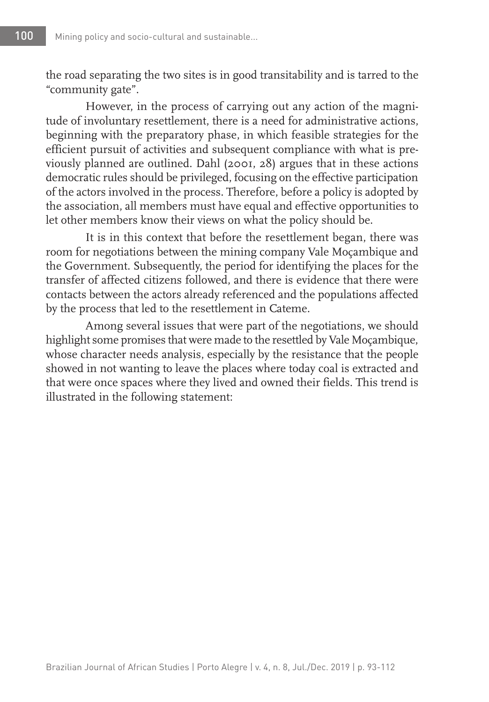the road separating the two sites is in good transitability and is tarred to the "community gate".

However, in the process of carrying out any action of the magnitude of involuntary resettlement, there is a need for administrative actions, beginning with the preparatory phase, in which feasible strategies for the efficient pursuit of activities and subsequent compliance with what is previously planned are outlined. Dahl (2001, 28) argues that in these actions democratic rules should be privileged, focusing on the effective participation of the actors involved in the process. Therefore, before a policy is adopted by the association, all members must have equal and effective opportunities to let other members know their views on what the policy should be.

It is in this context that before the resettlement began, there was room for negotiations between the mining company Vale Moçambique and the Government. Subsequently, the period for identifying the places for the transfer of affected citizens followed, and there is evidence that there were contacts between the actors already referenced and the populations affected by the process that led to the resettlement in Cateme.

Among several issues that were part of the negotiations, we should highlight some promises that were made to the resettled by Vale Moçambique, whose character needs analysis, especially by the resistance that the people showed in not wanting to leave the places where today coal is extracted and that were once spaces where they lived and owned their fields. This trend is illustrated in the following statement: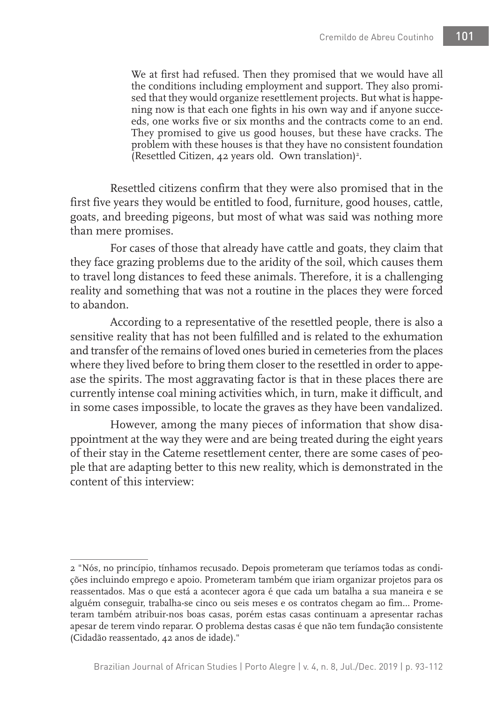We at first had refused. Then they promised that we would have all the conditions including employment and support. They also promised that they would organize resettlement projects. But what is happening now is that each one fights in his own way and if anyone succeeds, one works five or six months and the contracts come to an end. They promised to give us good houses, but these have cracks. The problem with these houses is that they have no consistent foundation (Resettled Citizen, 42 years old. Own translation)<sup>2</sup>.

Resettled citizens confirm that they were also promised that in the first five years they would be entitled to food, furniture, good houses, cattle, goats, and breeding pigeons, but most of what was said was nothing more than mere promises.

For cases of those that already have cattle and goats, they claim that they face grazing problems due to the aridity of the soil, which causes them to travel long distances to feed these animals. Therefore, it is a challenging reality and something that was not a routine in the places they were forced to abandon.

According to a representative of the resettled people, there is also a sensitive reality that has not been fulfilled and is related to the exhumation and transfer of the remains of loved ones buried in cemeteries from the places where they lived before to bring them closer to the resettled in order to appease the spirits. The most aggravating factor is that in these places there are currently intense coal mining activities which, in turn, make it difficult, and in some cases impossible, to locate the graves as they have been vandalized.

However, among the many pieces of information that show disappointment at the way they were and are being treated during the eight years of their stay in the Cateme resettlement center, there are some cases of people that are adapting better to this new reality, which is demonstrated in the content of this interview:

<sup>2 &</sup>quot;Nós, no princípio, tínhamos recusado. Depois prometeram que teríamos todas as condições incluindo emprego e apoio. Prometeram também que iriam organizar projetos para os reassentados. Mas o que está a acontecer agora é que cada um batalha a sua maneira e se alguém conseguir, trabalha-se cinco ou seis meses e os contratos chegam ao fim… Prometeram também atribuir-nos boas casas, porém estas casas continuam a apresentar rachas apesar de terem vindo reparar. O problema destas casas é que não tem fundação consistente (Cidadão reassentado, 42 anos de idade)."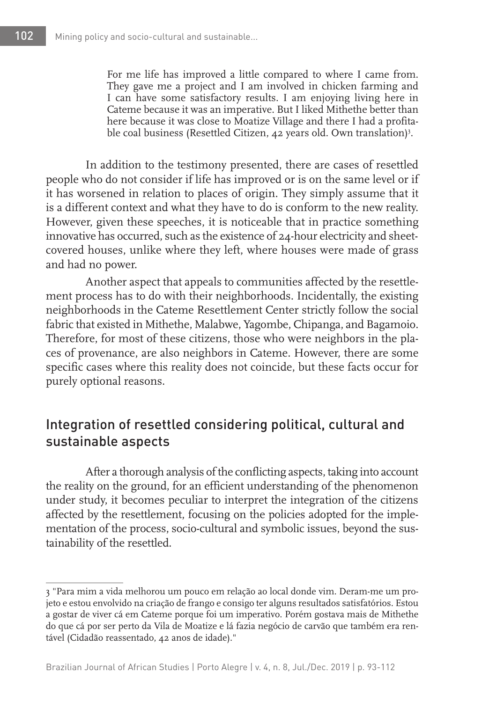For me life has improved a little compared to where I came from. They gave me a project and I am involved in chicken farming and I can have some satisfactory results. I am enjoying living here in Cateme because it was an imperative. But I liked Mithethe better than here because it was close to Moatize Village and there I had a profitable coal business (Resettled Citizen, 42 years old. Own translation)<sup>3</sup>.

In addition to the testimony presented, there are cases of resettled people who do not consider if life has improved or is on the same level or if it has worsened in relation to places of origin. They simply assume that it is a different context and what they have to do is conform to the new reality. However, given these speeches, it is noticeable that in practice something innovative has occurred, such as the existence of 24-hour electricity and sheetcovered houses, unlike where they left, where houses were made of grass and had no power.

Another aspect that appeals to communities affected by the resettlement process has to do with their neighborhoods. Incidentally, the existing neighborhoods in the Cateme Resettlement Center strictly follow the social fabric that existed in Mithethe, Malabwe, Yagombe, Chipanga, and Bagamoio. Therefore, for most of these citizens, those who were neighbors in the places of provenance, are also neighbors in Cateme. However, there are some specific cases where this reality does not coincide, but these facts occur for purely optional reasons.

# Integration of resettled considering political, cultural and sustainable aspects

After a thorough analysis of the conflicting aspects, taking into account the reality on the ground, for an efficient understanding of the phenomenon under study, it becomes peculiar to interpret the integration of the citizens affected by the resettlement, focusing on the policies adopted for the implementation of the process, socio-cultural and symbolic issues, beyond the sustainability of the resettled.

<sup>3 &</sup>quot;Para mim a vida melhorou um pouco em relação ao local donde vim. Deram-me um projeto e estou envolvido na criação de frango e consigo ter alguns resultados satisfatórios. Estou a gostar de viver cá em Cateme porque foi um imperativo. Porém gostava mais de Mithethe do que cá por ser perto da Vila de Moatize e lá fazia negócio de carvão que também era rentável (Cidadão reassentado, 42 anos de idade)."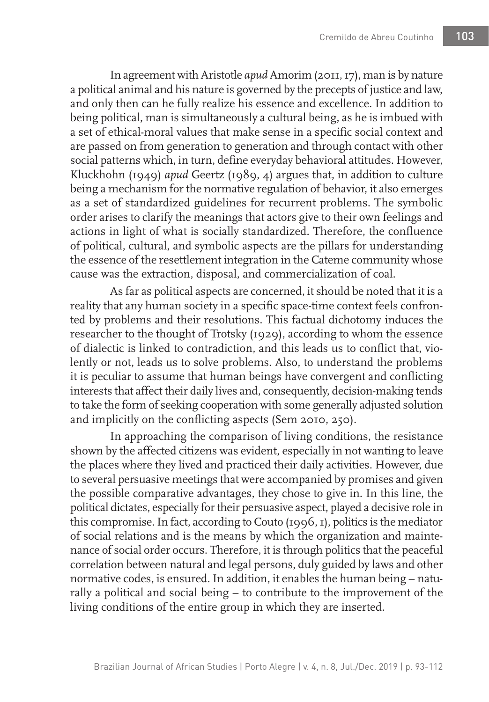In agreement with Aristotle *apud* Amorim (2011, 17), man is by nature a political animal and his nature is governed by the precepts of justice and law, and only then can he fully realize his essence and excellence. In addition to being political, man is simultaneously a cultural being, as he is imbued with a set of ethical-moral values that make sense in a specific social context and are passed on from generation to generation and through contact with other social patterns which, in turn, define everyday behavioral attitudes. However, Kluckhohn (1949) *apud* Geertz (1989, 4) argues that, in addition to culture being a mechanism for the normative regulation of behavior, it also emerges as a set of standardized guidelines for recurrent problems. The symbolic order arises to clarify the meanings that actors give to their own feelings and actions in light of what is socially standardized. Therefore, the confluence of political, cultural, and symbolic aspects are the pillars for understanding the essence of the resettlement integration in the Cateme community whose cause was the extraction, disposal, and commercialization of coal.

As far as political aspects are concerned, it should be noted that it is a reality that any human society in a specific space-time context feels confronted by problems and their resolutions. This factual dichotomy induces the researcher to the thought of Trotsky (1929), according to whom the essence of dialectic is linked to contradiction, and this leads us to conflict that, violently or not, leads us to solve problems. Also, to understand the problems it is peculiar to assume that human beings have convergent and conflicting interests that affect their daily lives and, consequently, decision-making tends to take the form of seeking cooperation with some generally adjusted solution and implicitly on the conflicting aspects (Sem 2010, 250).

In approaching the comparison of living conditions, the resistance shown by the affected citizens was evident, especially in not wanting to leave the places where they lived and practiced their daily activities. However, due to several persuasive meetings that were accompanied by promises and given the possible comparative advantages, they chose to give in. In this line, the political dictates, especially for their persuasive aspect, played a decisive role in this compromise. In fact, according to Couto (1996, 1), politics is the mediator of social relations and is the means by which the organization and maintenance of social order occurs. Therefore, it is through politics that the peaceful correlation between natural and legal persons, duly guided by laws and other normative codes, is ensured. In addition, it enables the human being – naturally a political and social being – to contribute to the improvement of the living conditions of the entire group in which they are inserted.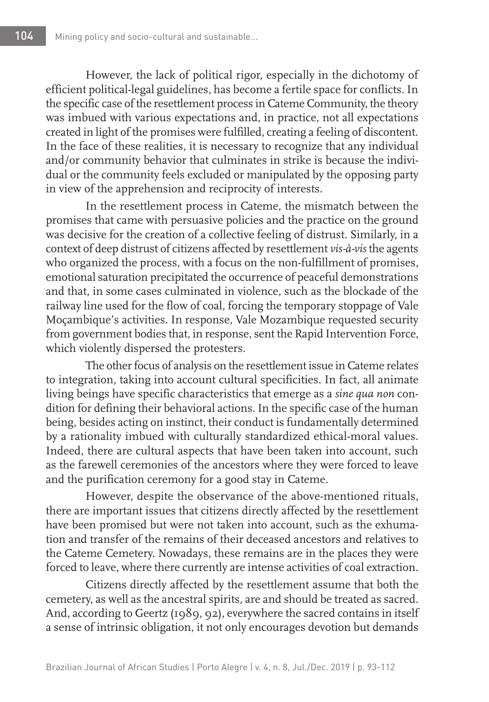However, the lack of political rigor, especially in the dichotomy of efficient political-legal guidelines, has become a fertile space for conflicts. In the specific case of the resettlement process in Cateme Community, the theory was imbued with various expectations and, in practice, not all expectations created in light of the promises were fulfilled, creating a feeling of discontent. In the face of these realities, it is necessary to recognize that any individual and/or community behavior that culminates in strike is because the individual or the community feels excluded or manipulated by the opposing party in view of the apprehension and reciprocity of interests.

In the resettlement process in Cateme, the mismatch between the promises that came with persuasive policies and the practice on the ground was decisive for the creation of a collective feeling of distrust. Similarly, in a context of deep distrust of citizens affected by resettlement *vis-à-vis* the agents who organized the process, with a focus on the non-fulfillment of promises, emotional saturation precipitated the occurrence of peaceful demonstrations and that, in some cases culminated in violence, such as the blockade of the railway line used for the flow of coal, forcing the temporary stoppage of Vale Moçambique's activities. In response, Vale Mozambique requested security from government bodies that, in response, sent the Rapid Intervention Force, which violently dispersed the protesters.

The other focus of analysis on the resettlement issue in Cateme relates to integration, taking into account cultural specificities. In fact, all animate living beings have specific characteristics that emerge as a *sine qua non* condition for defining their behavioral actions. In the specific case of the human being, besides acting on instinct, their conduct is fundamentally determined by a rationality imbued with culturally standardized ethical-moral values. Indeed, there are cultural aspects that have been taken into account, such as the farewell ceremonies of the ancestors where they were forced to leave and the purification ceremony for a good stay in Cateme.

However, despite the observance of the above-mentioned rituals, there are important issues that citizens directly affected by the resettlement have been promised but were not taken into account, such as the exhumation and transfer of the remains of their deceased ancestors and relatives to the Cateme Cemetery. Nowadays, these remains are in the places they were forced to leave, where there currently are intense activities of coal extraction.

Citizens directly affected by the resettlement assume that both the cemetery, as well as the ancestral spirits, are and should be treated as sacred. And, according to Geertz (1989, 92), everywhere the sacred contains in itself a sense of intrinsic obligation, it not only encourages devotion but demands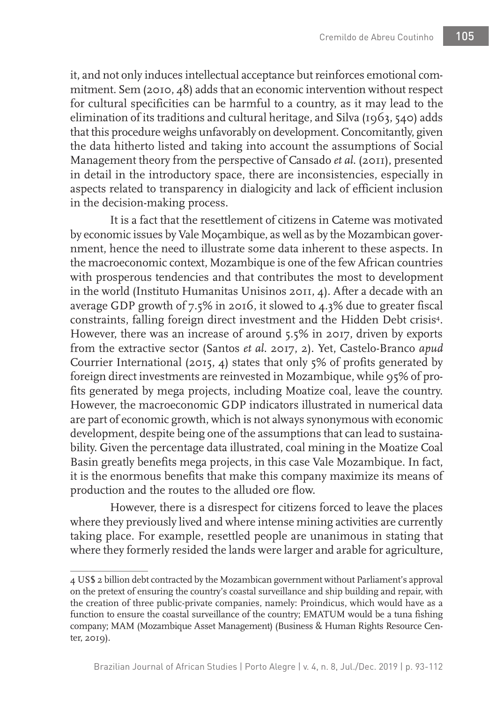it, and not only induces intellectual acceptance but reinforces emotional commitment. Sem (2010, 48) adds that an economic intervention without respect for cultural specificities can be harmful to a country, as it may lead to the elimination of its traditions and cultural heritage, and Silva (1963, 540) adds that this procedure weighs unfavorably on development. Concomitantly, given the data hitherto listed and taking into account the assumptions of Social Management theory from the perspective of Cansado *et al*. (2011), presented in detail in the introductory space, there are inconsistencies, especially in aspects related to transparency in dialogicity and lack of efficient inclusion in the decision-making process.

It is a fact that the resettlement of citizens in Cateme was motivated by economic issues by Vale Moçambique, as well as by the Mozambican government, hence the need to illustrate some data inherent to these aspects. In the macroeconomic context, Mozambique is one of the few African countries with prosperous tendencies and that contributes the most to development in the world (Instituto Humanitas Unisinos 2011, 4). After a decade with an average GDP growth of 7.5% in 2016, it slowed to 4.3% due to greater fiscal constraints, falling foreign direct investment and the Hidden Debt crisis<sup>4</sup>. However, there was an increase of around 5.5% in 2017, driven by exports from the extractive sector (Santos *et al*. 2017, 2). Yet, Castelo-Branco *apud* Courrier International (2015, 4) states that only 5% of profits generated by foreign direct investments are reinvested in Mozambique, while 95% of profits generated by mega projects, including Moatize coal, leave the country. However, the macroeconomic GDP indicators illustrated in numerical data are part of economic growth, which is not always synonymous with economic development, despite being one of the assumptions that can lead to sustainability. Given the percentage data illustrated, coal mining in the Moatize Coal Basin greatly benefits mega projects, in this case Vale Mozambique. In fact, it is the enormous benefits that make this company maximize its means of production and the routes to the alluded ore flow.

However, there is a disrespect for citizens forced to leave the places where they previously lived and where intense mining activities are currently taking place. For example, resettled people are unanimous in stating that where they formerly resided the lands were larger and arable for agriculture,

<sup>4</sup> US\$ 2 billion debt contracted by the Mozambican government without Parliament's approval on the pretext of ensuring the country's coastal surveillance and ship building and repair, with the creation of three public-private companies, namely: Proindicus, which would have as a function to ensure the coastal surveillance of the country; EMATUM would be a tuna fishing company; MAM (Mozambique Asset Management) (Business & Human Rights Resource Center, 2019).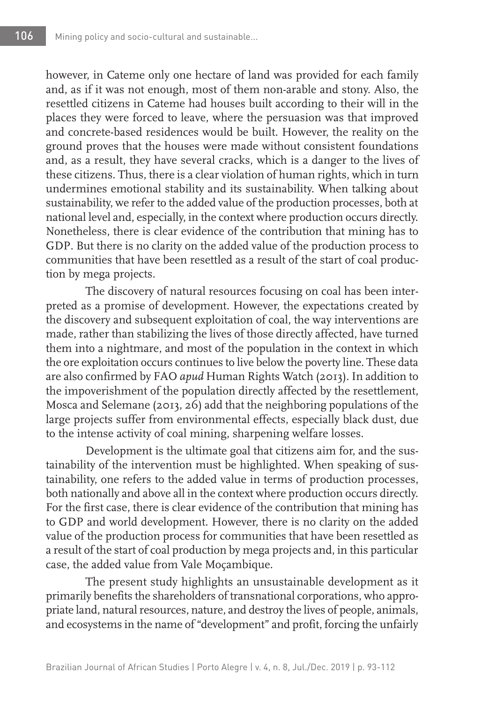however, in Cateme only one hectare of land was provided for each family and, as if it was not enough, most of them non-arable and stony. Also, the resettled citizens in Cateme had houses built according to their will in the places they were forced to leave, where the persuasion was that improved and concrete-based residences would be built. However, the reality on the ground proves that the houses were made without consistent foundations and, as a result, they have several cracks, which is a danger to the lives of these citizens. Thus, there is a clear violation of human rights, which in turn undermines emotional stability and its sustainability. When talking about sustainability, we refer to the added value of the production processes, both at national level and, especially, in the context where production occurs directly. Nonetheless, there is clear evidence of the contribution that mining has to GDP. But there is no clarity on the added value of the production process to communities that have been resettled as a result of the start of coal production by mega projects.

The discovery of natural resources focusing on coal has been interpreted as a promise of development. However, the expectations created by the discovery and subsequent exploitation of coal, the way interventions are made, rather than stabilizing the lives of those directly affected, have turned them into a nightmare, and most of the population in the context in which the ore exploitation occurs continues to live below the poverty line. These data are also confirmed by FAO *apud* Human Rights Watch (2013). In addition to the impoverishment of the population directly affected by the resettlement, Mosca and Selemane (2013, 26) add that the neighboring populations of the large projects suffer from environmental effects, especially black dust, due to the intense activity of coal mining, sharpening welfare losses.

Development is the ultimate goal that citizens aim for, and the sustainability of the intervention must be highlighted. When speaking of sustainability, one refers to the added value in terms of production processes, both nationally and above all in the context where production occurs directly. For the first case, there is clear evidence of the contribution that mining has to GDP and world development. However, there is no clarity on the added value of the production process for communities that have been resettled as a result of the start of coal production by mega projects and, in this particular case, the added value from Vale Moçambique.

The present study highlights an unsustainable development as it primarily benefits the shareholders of transnational corporations, who appropriate land, natural resources, nature, and destroy the lives of people, animals, and ecosystems in the name of "development" and profit, forcing the unfairly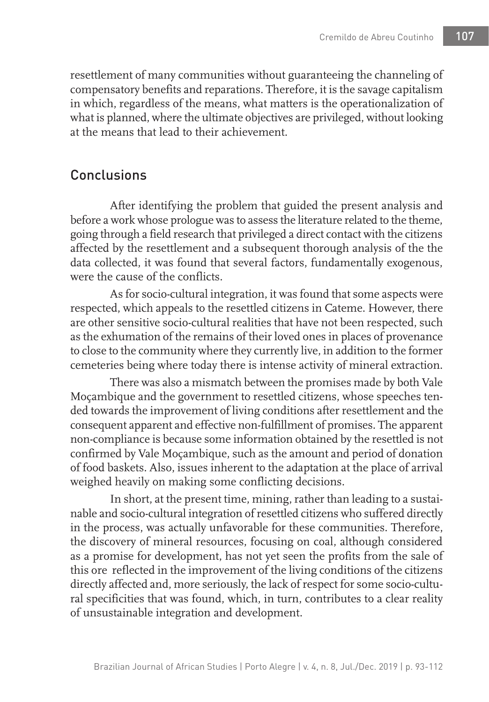resettlement of many communities without guaranteeing the channeling of compensatory benefits and reparations. Therefore, it is the savage capitalism in which, regardless of the means, what matters is the operationalization of what is planned, where the ultimate objectives are privileged, without looking at the means that lead to their achievement.

# **Conclusions**

After identifying the problem that guided the present analysis and before a work whose prologue was to assess the literature related to the theme, going through a field research that privileged a direct contact with the citizens affected by the resettlement and a subsequent thorough analysis of the the data collected, it was found that several factors, fundamentally exogenous, were the cause of the conflicts.

As for socio-cultural integration, it was found that some aspects were respected, which appeals to the resettled citizens in Cateme. However, there are other sensitive socio-cultural realities that have not been respected, such as the exhumation of the remains of their loved ones in places of provenance to close to the community where they currently live, in addition to the former cemeteries being where today there is intense activity of mineral extraction.

There was also a mismatch between the promises made by both Vale Moçambique and the government to resettled citizens, whose speeches tended towards the improvement of living conditions after resettlement and the consequent apparent and effective non-fulfillment of promises. The apparent non-compliance is because some information obtained by the resettled is not confirmed by Vale Moçambique, such as the amount and period of donation of food baskets. Also, issues inherent to the adaptation at the place of arrival weighed heavily on making some conflicting decisions.

In short, at the present time, mining, rather than leading to a sustainable and socio-cultural integration of resettled citizens who suffered directly in the process, was actually unfavorable for these communities. Therefore, the discovery of mineral resources, focusing on coal, although considered as a promise for development, has not yet seen the profits from the sale of this ore reflected in the improvement of the living conditions of the citizens directly affected and, more seriously, the lack of respect for some socio-cultural specificities that was found, which, in turn, contributes to a clear reality of unsustainable integration and development.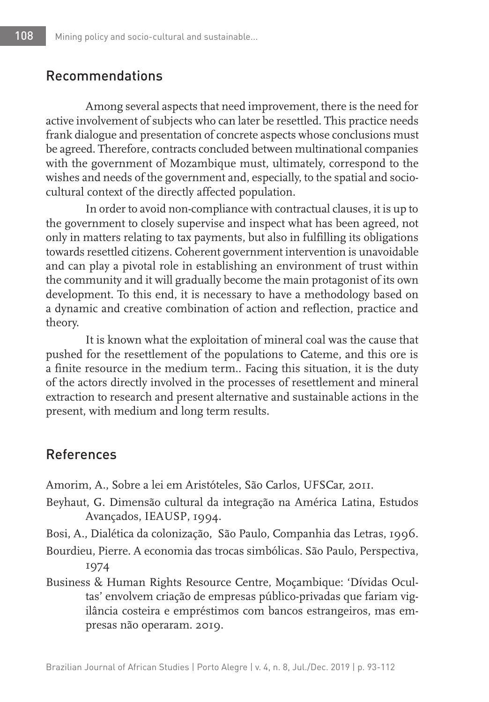### Recommendations

Among several aspects that need improvement, there is the need for active involvement of subjects who can later be resettled. This practice needs frank dialogue and presentation of concrete aspects whose conclusions must be agreed. Therefore, contracts concluded between multinational companies with the government of Mozambique must, ultimately, correspond to the wishes and needs of the government and, especially, to the spatial and sociocultural context of the directly affected population.

In order to avoid non-compliance with contractual clauses, it is up to the government to closely supervise and inspect what has been agreed, not only in matters relating to tax payments, but also in fulfilling its obligations towards resettled citizens. Coherent government intervention is unavoidable and can play a pivotal role in establishing an environment of trust within the community and it will gradually become the main protagonist of its own development. To this end, it is necessary to have a methodology based on a dynamic and creative combination of action and reflection, practice and theory.

It is known what the exploitation of mineral coal was the cause that pushed for the resettlement of the populations to Cateme, and this ore is a finite resource in the medium term.. Facing this situation, it is the duty of the actors directly involved in the processes of resettlement and mineral extraction to research and present alternative and sustainable actions in the present, with medium and long term results.

#### References

Amorim, A., Sobre a lei em Aristóteles, São Carlos, UFSCar, 2011.

- Beyhaut, G. Dimensão cultural da integração na América Latina, Estudos Avançados, IEAUSP, 1994.
- Bosi, A., Dialética da colonização, São Paulo, Companhia das Letras, 1996.
- Bourdieu, Pierre. A economia das trocas simbólicas. São Paulo, Perspectiva, 1974
- Business & Human Rights Resource Centre, Moçambique: 'Dívidas Ocultas' envolvem criação de empresas público-privadas que fariam vigilância costeira e empréstimos com bancos estrangeiros, mas empresas não operaram. 2019.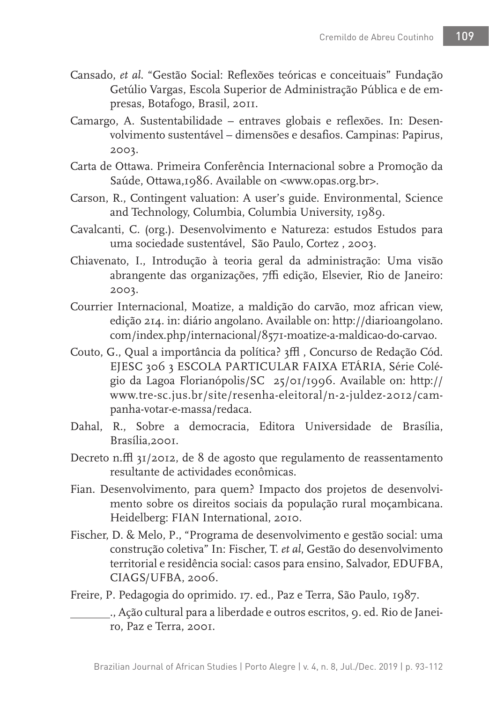- Cansado, *et al*. "Gestão Social: Reflexões teóricas e conceituais" Fundação Getúlio Vargas, Escola Superior de Administração Pública e de empresas, Botafogo, Brasil, 2011.
- Camargo, A. Sustentabilidade entraves globais e reflexões. In: Desenvolvimento sustentável – dimensões e desafios. Campinas: Papirus, 2003.
- Carta de Ottawa. Primeira Conferência Internacional sobre a Promoção da Saúde, Ottawa,1986. Available on <www.opas.org.br>.
- Carson, R., Contingent valuation: A user's guide. Environmental, Science and Technology, Columbia, Columbia University, 1989.
- Cavalcanti, C. (org.). Desenvolvimento e Natureza: estudos Estudos para uma sociedade sustentável, São Paulo, Cortez , 2003.
- Chiavenato, I., Introdução à teoria geral da administração: Uma visão abrangente das organizações, 7ffi edição, Elsevier, Rio de Janeiro: 2003.
- Courrier Internacional, Moatize, a maldição do carvão, moz african view, edição 214. in: diário angolano. Available on: http://diarioangolano. com/index.php/internacional/8571-moatize-a-maldicao-do-carvao.
- Couto, G., Qual a importância da política? 3ffl, Concurso de Redação Cód. EJESC 306 3 ESCOLA PARTICULAR FAIXA ETÁRIA, Série Colégio da Lagoa Florianópolis/SC 25/01/1996. Available on: http:// www.tre-sc.jus.br/site/resenha-eleitoral/n-2-juldez-2012/campanha-votar-e-massa/redaca.
- Dahal, R., Sobre a democracia, Editora Universidade de Brasília, Brasília,2001.
- Decreto n.ffl 31/2012, de 8 de agosto que regulamento de reassentamento resultante de actividades econômicas.
- Fian. Desenvolvimento, para quem? Impacto dos projetos de desenvolvimento sobre os direitos sociais da população rural moçambicana. Heidelberg: FIAN International, 2010.
- Fischer, D. & Melo, P., "Programa de desenvolvimento e gestão social: uma construção coletiva" In: Fischer, T. *et al*, Gestão do desenvolvimento territorial e residência social: casos para ensino, Salvador, EDUFBA, CIAGS/UFBA, 2006.
- Freire, P. Pedagogia do oprimido. 17. ed., Paz e Terra, São Paulo, 1987.
	- ., Ação cultural para a liberdade e outros escritos, 9. ed. Rio de Janeiro, Paz e Terra, 2001.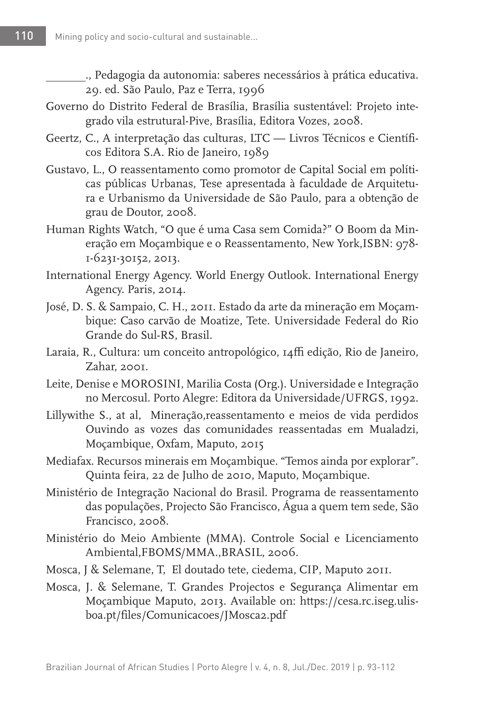., Pedagogia da autonomia: saberes necessários à prática educativa. 29. ed. São Paulo, Paz e Terra, 1996

- Governo do Distrito Federal de Brasília, Brasília sustentável: Projeto integrado vila estrutural-Pive, Brasília, Editora Vozes, 2008.
- Geertz, C., A interpretação das culturas, LTC Livros Técnicos e Científicos Editora S.A. Rio de Janeiro, 1989
- Gustavo, L., O reassentamento como promotor de Capital Social em políticas públicas Urbanas, Tese apresentada à faculdade de Arquitetura e Urbanismo da Universidade de São Paulo, para a obtenção de grau de Doutor, 2008.
- Human Rights Watch, "O que é uma Casa sem Comida?" O Boom da Mineração em Moçambique e o Reassentamento, New York,ISBN: 978- 1-6231-30152, 2013.
- International Energy Agency. World Energy Outlook. International Energy Agency. Paris, 2014.
- José, D. S. & Sampaio, C. H., 2011. Estado da arte da mineração em Moçambique: Caso carvão de Moatize, Tete. Universidade Federal do Rio Grande do Sul-RS, Brasil.
- Laraia, R., Cultura: um conceito antropológico, 14ffi edição, Rio de Janeiro, Zahar, 2001.
- Leite, Denise e MOROSINI, Marilia Costa (Org.). Universidade e Integração no Mercosul. Porto Alegre: Editora da Universidade/UFRGS, 1992.
- Lillywithe S., at al, Mineração,reassentamento e meios de vida perdidos Ouvindo as vozes das comunidades reassentadas em Mualadzi, Moçambique, Oxfam, Maputo, 2015
- Mediafax. Recursos minerais em Moçambique. "Temos ainda por explorar". Quinta feira, 22 de Julho de 2010, Maputo, Moçambique.
- Ministério de Integração Nacional do Brasil. Programa de reassentamento das populações, Projecto São Francisco, Água a quem tem sede, São Francisco, 2008.
- Ministério do Meio Ambiente (MMA). Controle Social e Licenciamento Ambiental,FBOMS/MMA.,BRASIL, 2006.
- Mosca, J & Selemane, T, El doutado tete, ciedema, CIP, Maputo 2011.
- Mosca, J. & Selemane, T. Grandes Projectos e Segurança Alimentar em Moçambique Maputo, 2013. Available on: https://cesa.rc.iseg.ulisboa.pt/files/Comunicacoes/JMosca2.pdf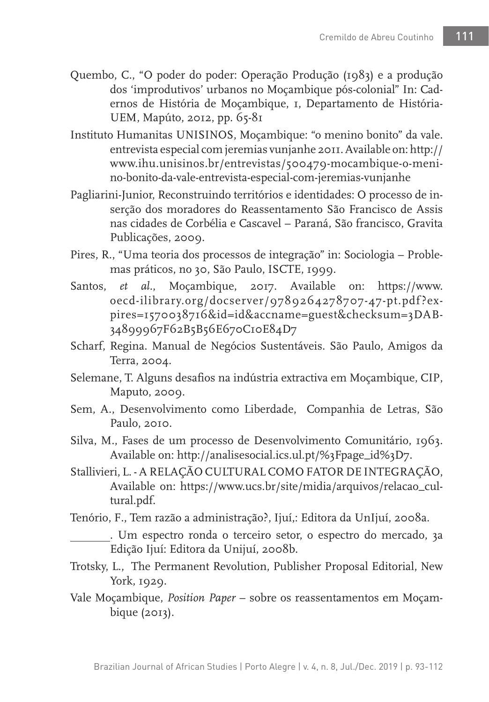- Quembo, C., "O poder do poder: Operação Produção (1983) e a produção dos 'improdutivos' urbanos no Moçambique pós-colonial" In: Cadernos de História de Moçambique, 1, Departamento de História-UEM, Mapúto, 2012, pp. 65-81
- Instituto Humanitas UNISINOS, Moçambique: "o menino bonito" da vale. entrevista especial com jeremias vunjanhe 2011. Available on: http:// www.ihu.unisinos.br/entrevistas/500479-mocambique-o-menino-bonito-da-vale-entrevista-especial-com-jeremias-vunjanhe
- Pagliarini-Junior, Reconstruindo territórios e identidades: O processo de inserção dos moradores do Reassentamento São Francisco de Assis nas cidades de Corbélia e Cascavel – Paraná, São francisco, Gravita Publicações, 2009.
- Pires, R., "Uma teoria dos processos de integração" in: Sociologia Problemas práticos, no 30, São Paulo, ISCTE, 1999.
- Santos, *et al.*, Moçambique, 2017. Available on: https://www. oecd-ilibrary.org/docserver/9789264278707-47-pt.pdf ?expires=1570038716&id=id&accname=guest&checksum=3DAB-34899967F62B5B56E670C10E84D7
- Scharf, Regina. Manual de Negócios Sustentáveis. São Paulo, Amigos da Terra, 2004.
- Selemane, T. Alguns desafios na indústria extractiva em Moçambique, CIP, Maputo, 2009.
- Sem, A., Desenvolvimento como Liberdade, Companhia de Letras, São Paulo, 2010.
- Silva, M., Fases de um processo de Desenvolvimento Comunitário, 1963. Available on: http://analisesocial.ics.ul.pt/%3Fpage\_id%3D7.
- Stallivieri, L. A RELAÇÃO CULTURAL COMO FATOR DE INTEGRAÇÃO, Available on: https://www.ucs.br/site/midia/arquivos/relacao\_cultural.pdf.
- Tenório, F., Tem razão a administração?, Ijuí,: Editora da UnIjuí, 2008a.

. Um espectro ronda o terceiro setor, o espectro do mercado, 3a Edição Ijuí: Editora da Unijuí, 2008b.

- Trotsky, L., The Permanent Revolution, Publisher Proposal Editorial, New York, 1929.
- Vale Moçambique, *Position Paper*  sobre os reassentamentos em Moçambique (2013).